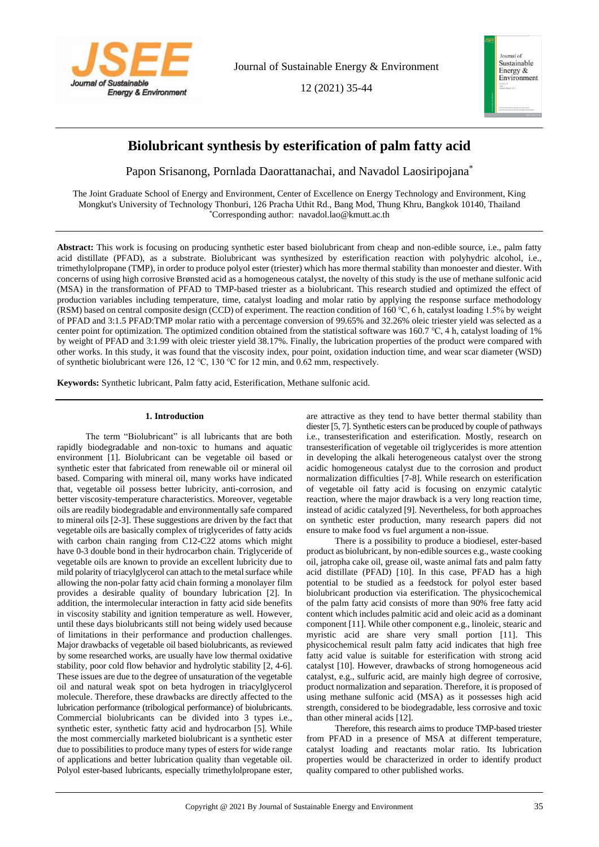

Journal of Sustainable Energy & Environment

12 (2021) 35-44



# **Biolubricant synthesis by esterification of palm fatty acid**

Papon Srisanong, Pornlada Daorattanachai, and Navadol Laosiripojana\*

The Joint Graduate School of Energy and Environment, Center of Excellence on Energy Technology and Environment, King Mongkut's University of Technology Thonburi, 126 Pracha Uthit Rd., Bang Mod, Thung Khru, Bangkok 10140, Thailand \*Corresponding author: navadol.lao@kmutt.ac.th

**Abstract:** This work is focusing on producing synthetic ester based biolubricant from cheap and non-edible source, i.e., palm fatty acid distillate (PFAD), as a substrate. Biolubricant was synthesized by esterification reaction with polyhydric alcohol, i.e., trimethylolpropane (TMP), in order to produce polyol ester (triester) which has more thermal stability than monoester and diester. With concerns of using high corrosive Brønsted acid as a homogeneous catalyst, the novelty of this study is the use of methane sulfonic acid (MSA) in the transformation of PFAD to TMP-based triester as a biolubricant. This research studied and optimized the effect of production variables including temperature, time, catalyst loading and molar ratio by applying the response surface methodology (RSM) based on central composite design (CCD) of experiment. The reaction condition of 160 ℃, 6 h, catalyst loading 1.5% by weight of PFAD and 3:1.5 PFAD:TMP molar ratio with a percentage conversion of 99.65% and 32.26% oleic triester yield was selected as a center point for optimization. The optimized condition obtained from the statistical software was 160.7 ℃, 4 h, catalyst loading of 1% by weight of PFAD and 3:1.99 with oleic triester yield 38.17%. Finally, the lubrication properties of the product were compared with other works. In this study, it was found that the viscosity index, pour point, oxidation induction time, and wear scar diameter (WSD) of synthetic biolubricant were 126, 12 ℃, 130 ℃ for 12 min, and 0.62 mm, respectively.

**Keywords:** Synthetic lubricant, Palm fatty acid, Esterification, Methane sulfonic acid.

# **1. Introduction**

The term "Biolubricant" is all lubricants that are both rapidly biodegradable and non-toxic to humans and aquatic environment [1]. Biolubricant can be vegetable oil based or synthetic ester that fabricated from renewable oil or mineral oil based. Comparing with mineral oil, many works have indicated that, vegetable oil possess better lubricity, anti-corrosion, and better viscosity-temperature characteristics. Moreover, vegetable oils are readily biodegradable and environmentally safe compared to mineral oils [2-3]. These suggestions are driven by the fact that vegetable oils are basically complex of triglycerides of fatty acids with carbon chain ranging from C12-C22 atoms which might have 0-3 double bond in their hydrocarbon chain. Triglyceride of vegetable oils are known to provide an excellent lubricity due to mild polarity of triacylglycerol can attach to the metal surface while allowing the non-polar fatty acid chain forming a monolayer film provides a desirable quality of boundary lubrication [2]. In addition, the intermolecular interaction in fatty acid side benefits in viscosity stability and ignition temperature as well. However, until these days biolubricants still not being widely used because of limitations in their performance and production challenges. Major drawbacks of vegetable oil based biolubricants, as reviewed by some researched works, are usually have low thermal oxidative stability, poor cold flow behavior and hydrolytic stability [2, 4-6]. These issues are due to the degree of unsaturation of the vegetable oil and natural weak spot on beta hydrogen in triacylglycerol molecule. Therefore, these drawbacks are directly affected to the lubrication performance (tribological performance) of biolubricants. Commercial biolubricants can be divided into 3 types i.e., synthetic ester, synthetic fatty acid and hydrocarbon [5]. While the most commercially marketed biolubricant is a synthetic ester due to possibilities to produce many types of esters for wide range of applications and better lubrication quality than vegetable oil. Polyol ester-based lubricants, especially trimethylolpropane ester,

are attractive as they tend to have better thermal stability than diester [5, 7]. Synthetic esters can be produced by couple of pathways i.e., transesterification and esterification. Mostly, research on transesterification of vegetable oil triglycerides is more attention in developing the alkali heterogeneous catalyst over the strong acidic homogeneous catalyst due to the corrosion and product normalization difficulties [7-8]. While research on esterification of vegetable oil fatty acid is focusing on enzymic catalytic reaction, where the major drawback is a very long reaction time, instead of acidic catalyzed [9]. Nevertheless, for both approaches on synthetic ester production, many research papers did not ensure to make food vs fuel argument a non-issue.

There is a possibility to produce a biodiesel, ester-based product as biolubricant, by non-edible sources e.g., waste cooking oil, jatropha cake oil, grease oil, waste animal fats and palm fatty acid distillate (PFAD) [10]. In this case, PFAD has a high potential to be studied as a feedstock for polyol ester based biolubricant production via esterification. The physicochemical of the palm fatty acid consists of more than 90% free fatty acid content which includes palmitic acid and oleic acid as a dominant component [11]. While other component e.g., linoleic, stearic and myristic acid are share very small portion [11]. This physicochemical result palm fatty acid indicates that high free fatty acid value is suitable for esterification with strong acid catalyst [10]. However, drawbacks of strong homogeneous acid catalyst, e.g., sulfuric acid, are mainly high degree of corrosive, product normalization and separation. Therefore, it is proposed of using methane sulfonic acid (MSA) as it possesses high acid strength, considered to be biodegradable, less corrosive and toxic than other mineral acids [12].

Therefore, this research aims to produce TMP-based triester from PFAD in a presence of MSA at different temperature, catalyst loading and reactants molar ratio. Its lubrication properties would be characterized in order to identify product quality compared to other published works.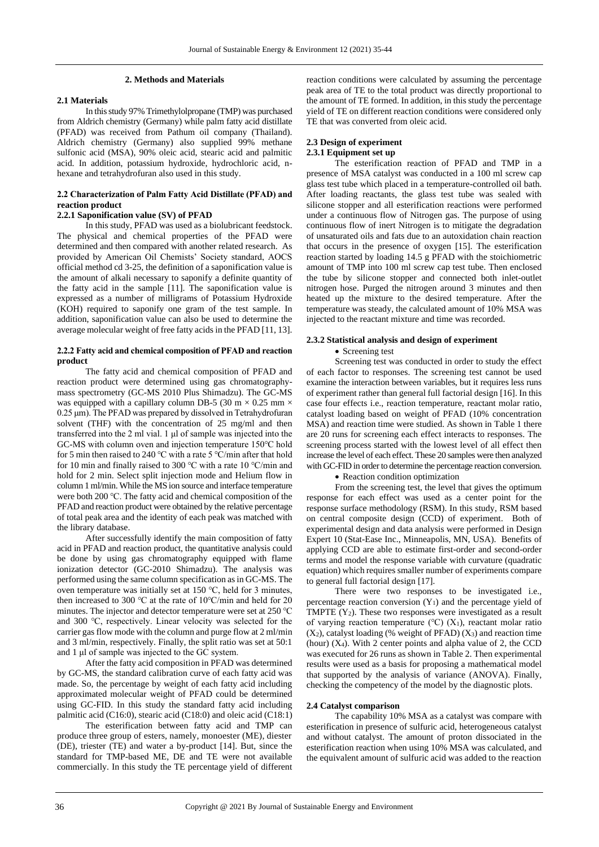#### **2. Methods and Materials**

# **2.1 Materials**

In this study 97% Trimethylolpropane (TMP) was purchased from Aldrich chemistry (Germany) while palm fatty acid distillate (PFAD) was received from Pathum oil company (Thailand). Aldrich chemistry (Germany) also supplied 99% methane sulfonic acid (MSA), 90% oleic acid, stearic acid and palmitic acid. In addition, potassium hydroxide, hydrochloric acid, nhexane and tetrahydrofuran also used in this study.

# **2.2 Characterization of Palm Fatty Acid Distillate (PFAD) and reaction product**

# **2.2.1 Saponification value (SV) of PFAD**

In this study, PFAD was used as a biolubricant feedstock. The physical and chemical properties of the PFAD were determined and then compared with another related research. As provided by American Oil Chemists' Society standard, AOCS official method cd 3-25, the definition of a saponification value is the amount of alkali necessary to saponify a definite quantity of the fatty acid in the sample [11]. The saponification value is expressed as a number of milligrams of Potassium Hydroxide (KOH) required to saponify one gram of the test sample. In addition, saponification value can also be used to determine the average molecular weight of free fatty acids in the PFAD [11, 13].

## **2.2.2 Fatty acid and chemical composition of PFAD and reaction product**

The fatty acid and chemical composition of PFAD and reaction product were determined using gas chromatographymass spectrometry (GC-MS 2010 Plus Shimadzu). The GC-MS was equipped with a capillary column DB-5 (30 m  $\times$  0.25 mm  $\times$ 0.25 μm). The PFAD was prepared by dissolved in Tetrahydrofuran solvent (THF) with the concentration of 25 mg/ml and then transferred into the 2 ml vial. 1 μl of sample was injected into the GC-MS with column oven and injection temperature 150℃ hold for 5 min then raised to 240 ℃ with a rate 5 ℃/min after that hold for 10 min and finally raised to 300 ℃ with a rate 10 ℃/min and hold for 2 min. Select split injection mode and Helium flow in column 1 ml/min. While the MS ion source and interface temperature were both 200 ℃. The fatty acid and chemical composition of the PFAD and reaction product were obtained by the relative percentage of total peak area and the identity of each peak was matched with the library database.

After successfully identify the main composition of fatty acid in PFAD and reaction product, the quantitative analysis could be done by using gas chromatography equipped with flame ionization detector (GC-2010 Shimadzu). The analysis was performed using the same column specification as in GC-MS. The oven temperature was initially set at 150 ℃, held for 3 minutes, then increased to 300 ℃ at the rate of 10℃/min and held for 20 minutes. The injector and detector temperature were set at 250 ℃ and 300 ℃, respectively. Linear velocity was selected for the carrier gas flow mode with the column and purge flow at 2 ml/min and 3 ml/min, respectively. Finally, the split ratio was set at 50:1 and 1 μl of sample was injected to the GC system.

After the fatty acid composition in PFAD was determined by GC-MS, the standard calibration curve of each fatty acid was made. So, the percentage by weight of each fatty acid including approximated molecular weight of PFAD could be determined using GC-FID. In this study the standard fatty acid including palmitic acid (C16:0), stearic acid (C18:0) and oleic acid (C18:1)

The esterification between fatty acid and TMP can produce three group of esters, namely, monoester (ME), diester (DE), triester (TE) and water a by-product [14]. But, since the standard for TMP-based ME, DE and TE were not available commercially. In this study the TE percentage yield of different reaction conditions were calculated by assuming the percentage peak area of TE to the total product was directly proportional to the amount of TE formed. In addition, in this study the percentage yield of TE on different reaction conditions were considered only TE that was converted from oleic acid.

#### **2.3 Design of experiment 2.3.1 Equipment set up**

The esterification reaction of PFAD and TMP in a presence of MSA catalyst was conducted in a 100 ml screw cap glass test tube which placed in a temperature-controlled oil bath. After loading reactants, the glass test tube was sealed with silicone stopper and all esterification reactions were performed under a continuous flow of Nitrogen gas. The purpose of using continuous flow of inert Nitrogen is to mitigate the degradation of unsaturated oils and fats due to an autoxidation chain reaction that occurs in the presence of oxygen [15]. The esterification reaction started by loading 14.5 g PFAD with the stoichiometric amount of TMP into 100 ml screw cap test tube. Then enclosed the tube by silicone stopper and connected both inlet-outlet nitrogen hose. Purged the nitrogen around 3 minutes and then heated up the mixture to the desired temperature. After the temperature was steady, the calculated amount of 10% MSA was injected to the reactant mixture and time was recorded.

## **2.3.2 Statistical analysis and design of experiment**

#### • Screening test

Screening test was conducted in order to study the effect of each factor to responses. The screening test cannot be used examine the interaction between variables, but it requires less runs of experiment rather than general full factorial design [16]. In this case four effects i.e., reaction temperature, reactant molar ratio, catalyst loading based on weight of PFAD (10% concentration MSA) and reaction time were studied. As shown in Table 1 there are 20 runs for screening each effect interacts to responses. The screening process started with the lowest level of all effect then increase the level of each effect. These 20 samples were then analyzed with GC-FID in order to determine the percentage reaction conversion.

• Reaction condition optimization

From the screening test, the level that gives the optimum response for each effect was used as a center point for the response surface methodology (RSM). In this study, RSM based on central composite design (CCD) of experiment. Both of experimental design and data analysis were performed in Design Expert 10 (Stat-Ease Inc., Minneapolis, MN, USA). Benefits of applying CCD are able to estimate first-order and second-order terms and model the response variable with curvature (quadratic equation) which requires smaller number of experiments compare to general full factorial design [17].

There were two responses to be investigated i.e., percentage reaction conversion  $(Y_1)$  and the percentage yield of TMPTE  $(Y_2)$ . These two responses were investigated as a result of varying reaction temperature ( $°C$ ) (X<sub>1</sub>), reactant molar ratio  $(X_2)$ , catalyst loading (% weight of PFAD)  $(X_3)$  and reaction time (hour) (X4). With 2 center points and alpha value of 2, the CCD was executed for 26 runs as shown in Table 2. Then experimental results were used as a basis for proposing a mathematical model that supported by the analysis of variance (ANOVA). Finally, checking the competency of the model by the diagnostic plots.

## **2.4 Catalyst comparison**

The capability 10% MSA as a catalyst was compare with esterification in presence of sulfuric acid, heterogeneous catalyst and without catalyst. The amount of proton dissociated in the esterification reaction when using 10% MSA was calculated, and the equivalent amount of sulfuric acid was added to the reaction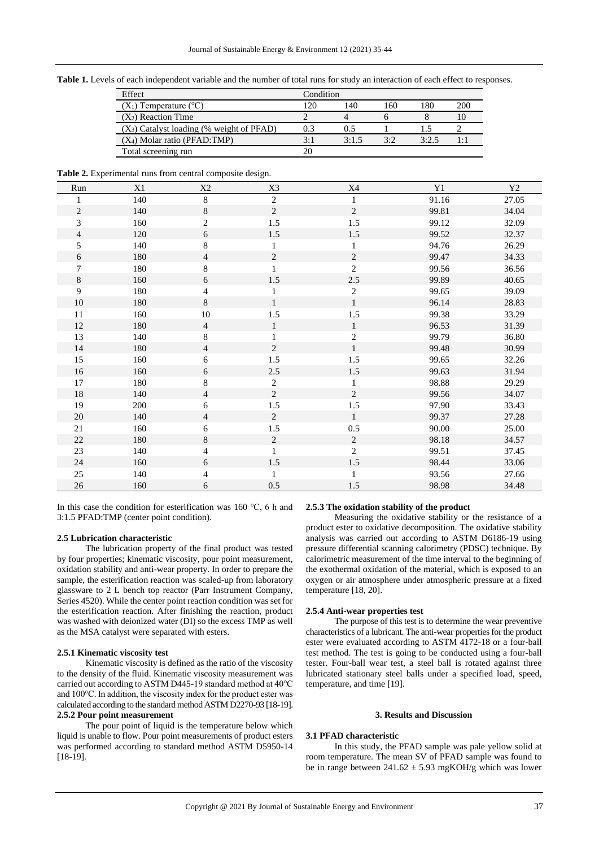**Table 1.** Levels of each independent variable and the number of total runs for study an interaction of each effect to responses.

| Effect                                      | Condition |       |     |       |            |
|---------------------------------------------|-----------|-------|-----|-------|------------|
| $(X_1)$ Temperature (°C)                    | 20        | 140   | 160 | 180   | <b>200</b> |
| $(X_2)$ Reaction Time                       |           |       |     |       | 10         |
| $(X_3)$ Catalyst loading (% weight of PFAD) |           | 0.5   |     |       |            |
| $(X_4)$ Molar ratio (PFAD:TMP)              | 3:1       | 3:1.5 | 3:2 | 3:2.5 |            |
| Total screening run                         |           |       |     |       |            |

**Table 2.** Experimental runs from central composite design.

| Run            | X1  | X2             | X3             | X4             | Y1    | Y2    |
|----------------|-----|----------------|----------------|----------------|-------|-------|
| 1              | 140 | $\,8\,$        | $\overline{c}$ | $\mathbf{1}$   | 91.16 | 27.05 |
| $\overline{c}$ | 140 | 8              | $\overline{2}$ | $\overline{2}$ | 99.81 | 34.04 |
| 3              | 160 | 2              | 1.5            | 1.5            | 99.12 | 32.09 |
| $\overline{4}$ | 120 | 6              | 1.5            | 1.5            | 99.52 | 32.37 |
| 5              | 140 | 8              | 1              | 1              | 94.76 | 26.29 |
| 6              | 180 | $\overline{4}$ | $\overline{c}$ | 2              | 99.47 | 34.33 |
| 7              | 180 | 8              | 1              | $\overline{c}$ | 99.56 | 36.56 |
| 8              | 160 | 6              | 1.5            | $2.5\,$        | 99.89 | 40.65 |
| 9              | 180 | 4              | 1              | $\sqrt{2}$     | 99.65 | 39.09 |
| 10             | 180 | 8              | $\mathbf{1}$   | $\mathbf{1}$   | 96.14 | 28.83 |
| 11             | 160 | 10             | 1.5            | $1.5\,$        | 99.38 | 33.29 |
| 12             | 180 | $\overline{4}$ | $\mathbf{1}$   | $\mathbf{1}$   | 96.53 | 31.39 |
| 13             | 140 | 8              | 1              | $\sqrt{2}$     | 99.79 | 36.80 |
| 14             | 180 | $\overline{4}$ | $\overline{2}$ | $\mathbf{1}$   | 99.48 | 30.99 |
| 15             | 160 | 6              | 1.5            | 1.5            | 99.65 | 32.26 |
| 16             | 160 | 6              | $2.5\,$        | $1.5\,$        | 99.63 | 31.94 |
| 17             | 180 | 8              | 2              | 1              | 98.88 | 29.29 |
| 18             | 140 | $\overline{4}$ | $\overline{c}$ | $\overline{2}$ | 99.56 | 34.07 |
| 19             | 200 | 6              | 1.5            | 1.5            | 97.90 | 33.43 |
| 20             | 140 | $\overline{4}$ | 2              | 1              | 99.37 | 27.28 |
| 21             | 160 | 6              | 1.5            | $0.5\,$        | 90.00 | 25.00 |
| 22             | 180 | 8              | $\mathbf{2}$   | $\sqrt{2}$     | 98.18 | 34.57 |
| 23             | 140 | 4              | 1              | $\overline{2}$ | 99.51 | 37.45 |
| 24             | 160 | 6              | 1.5            | $1.5\,$        | 98.44 | 33.06 |
| 25             | 140 | 4              | 1              | $\mathbf{1}$   | 93.56 | 27.66 |
| 26             | 160 | 6              | 0.5            | 1.5            | 98.98 | 34.48 |

In this case the condition for esterification was 160 ℃, 6 h and 3:1.5 PFAD:TMP (center point condition).

## **2.5 Lubrication characteristic**

The lubrication property of the final product was tested by four properties; kinematic viscosity, pour point measurement, oxidation stability and anti-wear property. In order to prepare the sample, the esterification reaction was scaled-up from laboratory glassware to 2 L bench top reactor (Parr Instrument Company, Series 4520). While the center point reaction condition was set for the esterification reaction. After finishing the reaction, product was washed with deionized water (DI) so the excess TMP as well as the MSA catalyst were separated with esters.

#### **2.5.1 Kinematic viscosity test**

Kinematic viscosity is defined as the ratio of the viscosity to the density of the fluid. Kinematic viscosity measurement was carried out according to ASTM D445-19 standard method at 40℃ and 100℃. In addition, the viscosity index for the product ester was calculated according to the standard method ASTM D2270-93 [18-19]. **2.5.2 Pour point measurement**

The pour point of liquid is the temperature below which liquid is unable to flow. Pour point measurements of product esters was performed according to standard method ASTM D5950-14 [18-19].

## **2.5.3 The oxidation stability of the product**

Measuring the oxidative stability or the resistance of a product ester to oxidative decomposition. The oxidative stability analysis was carried out according to ASTM D6186-19 using pressure differential scanning calorimetry (PDSC) technique. By calorimetric measurement of the time interval to the beginning of the exothermal oxidation of the material, which is exposed to an oxygen or air atmosphere under atmospheric pressure at a fixed temperature [18, 20].

## **2.5.4 Anti-wear properties test**

The purpose of this test is to determine the wear preventive characteristics of a lubricant. The anti-wear properties for the product ester were evaluated according to ASTM 4172-18 or a four-ball test method. The test is going to be conducted using a four-ball tester. Four-ball wear test, a steel ball is rotated against three lubricated stationary steel balls under a specified load, speed, temperature, and time [19].

## **3. Results and Discussion**

#### **3.1 PFAD characteristic**

In this study, the PFAD sample was pale yellow solid at room temperature. The mean SV of PFAD sample was found to be in range between  $241.62 \pm 5.93$  mgKOH/g which was lower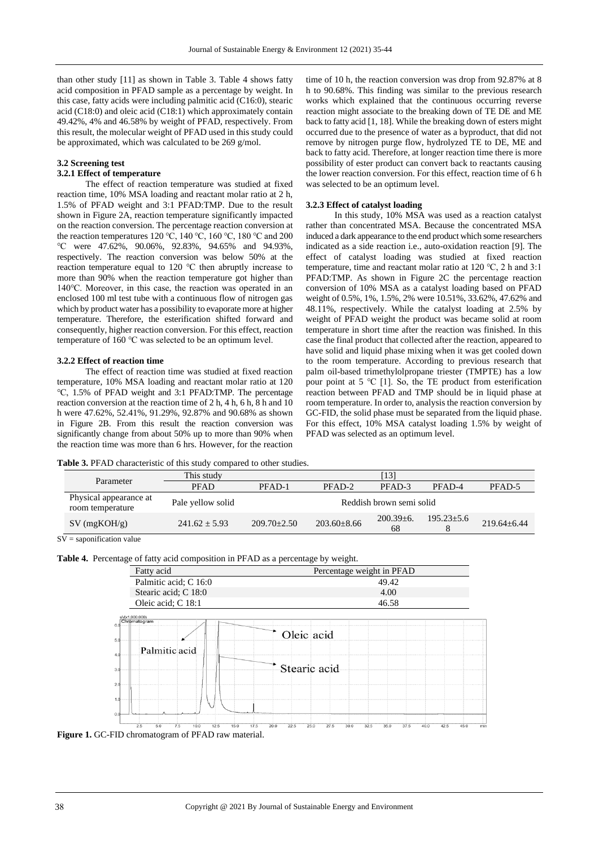than other study [11] as shown in Table 3. Table 4 shows fatty acid composition in PFAD sample as a percentage by weight. In this case, fatty acids were including palmitic acid (C16:0), stearic acid (C18:0) and oleic acid (C18:1) which approximately contain 49.42%, 4% and 46.58% by weight of PFAD, respectively. From this result, the molecular weight of PFAD used in this study could be approximated, which was calculated to be 269 g/mol.

## **3.2 Screening test**

#### **3.2.1 Effect of temperature**

The effect of reaction temperature was studied at fixed reaction time, 10% MSA loading and reactant molar ratio at 2 h, 1.5% of PFAD weight and 3:1 PFAD:TMP. Due to the result shown in Figure 2A, reaction temperature significantly impacted on the reaction conversion. The percentage reaction conversion at the reaction temperatures 120 ℃, 140 ℃, 160 ℃, 180 ℃ and 200 ℃ were 47.62%, 90.06%, 92.83%, 94.65% and 94.93%, respectively. The reaction conversion was below 50% at the reaction temperature equal to 120 ℃ then abruptly increase to more than 90% when the reaction temperature got higher than 140℃. Moreover, in this case, the reaction was operated in an enclosed 100 ml test tube with a continuous flow of nitrogen gas which by product water has a possibility to evaporate more at higher temperature. Therefore, the esterification shifted forward and consequently, higher reaction conversion. For this effect, reaction temperature of 160 ℃ was selected to be an optimum level.

## **3.2.2 Effect of reaction time**

The effect of reaction time was studied at fixed reaction temperature, 10% MSA loading and reactant molar ratio at 120 ℃, 1.5% of PFAD weight and 3:1 PFAD:TMP. The percentage reaction conversion at the reaction time of 2 h, 4 h, 6 h, 8 h and 10 h were 47.62%, 52.41%, 91.29%, 92.87% and 90.68% as shown in Figure 2B. From this result the reaction conversion was significantly change from about 50% up to more than 90% when the reaction time was more than 6 hrs. However, for the reaction time of 10 h, the reaction conversion was drop from 92.87% at 8 h to 90.68%. This finding was similar to the previous research works which explained that the continuous occurring reverse reaction might associate to the breaking down of TE DE and ME back to fatty acid [1, 18]. While the breaking down of esters might occurred due to the presence of water as a byproduct, that did not remove by nitrogen purge flow, hydrolyzed TE to DE, ME and back to fatty acid. Therefore, at longer reaction time there is more possibility of ester product can convert back to reactants causing the lower reaction conversion. For this effect, reaction time of 6 h was selected to be an optimum level.

## **3.2.3 Effect of catalyst loading**

In this study, 10% MSA was used as a reaction catalyst rather than concentrated MSA. Because the concentrated MSA induced a dark appearance to the end product which some researchers indicated as a side reaction i.e., auto-oxidation reaction [9]. The effect of catalyst loading was studied at fixed reaction temperature, time and reactant molar ratio at 120 ℃, 2 h and 3:1 PFAD:TMP. As shown in Figure 2C the percentage reaction conversion of 10% MSA as a catalyst loading based on PFAD weight of 0.5%, 1%, 1.5%, 2% were 10.51%, 33.62%, 47.62% and 48.11%, respectively. While the catalyst loading at 2.5% by weight of PFAD weight the product was became solid at room temperature in short time after the reaction was finished. In this case the final product that collected after the reaction, appeared to have solid and liquid phase mixing when it was get cooled down to the room temperature. According to previous research that palm oil-based trimethylolpropane triester (TMPTE) has a low pour point at 5 ℃ [1]. So, the TE product from esterification reaction between PFAD and TMP should be in liquid phase at room temperature. In order to, analysis the reaction conversion by GC-FID, the solid phase must be separated from the liquid phase. For this effect, 10% MSA catalyst loading 1.5% by weight of PFAD was selected as an optimum level.

**Table 3.** PFAD characteristic of this study compared to other studies.

| Parameter                                  | This study        |                 |                 | [13]                     |                |                 |
|--------------------------------------------|-------------------|-----------------|-----------------|--------------------------|----------------|-----------------|
|                                            | <b>PFAD</b>       | PFAD-1          | PFAD-2          | PFAD-3                   | PFAD-4         | PFAD-5          |
| Physical appearance at<br>room temperature | Pale yellow solid |                 |                 | Reddish brown semi solid |                |                 |
| $SV$ (mgKOH/g)                             | $241.62 + 5.93$   | $209.70 + 2.50$ | $203.60 + 8.66$ | $200.39 + 6.$<br>68      | $195.23 + 5.6$ | $219.64 + 6.44$ |

 $SV =$ saponification value

**Table 4.** Percentage of fatty acid composition in PFAD as a percentage by weight.



**Figure 1.** GC-FID chromatogram of PFAD raw material.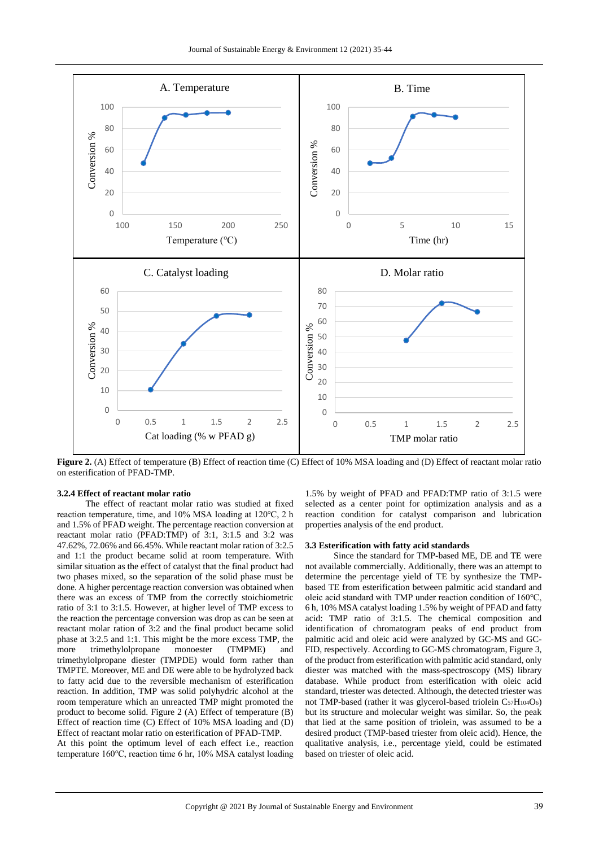

**Figure 2.** (A) Effect of temperature (B) Effect of reaction time (C) Effect of 10% MSA loading and (D) Effect of reactant molar ratio on esterification of PFAD-TMP.

## **3.2.4 Effect of reactant molar ratio**

The effect of reactant molar ratio was studied at fixed reaction temperature, time, and 10% MSA loading at 120℃, 2 h and 1.5% of PFAD weight. The percentage reaction conversion at reactant molar ratio (PFAD:TMP) of 3:1, 3:1.5 and 3:2 was 47.62%, 72.06% and 66.45%. While reactant molar ration of 3:2.5 and 1:1 the product became solid at room temperature. With similar situation as the effect of catalyst that the final product had two phases mixed, so the separation of the solid phase must be done. A higher percentage reaction conversion was obtained when there was an excess of TMP from the correctly stoichiometric ratio of 3:1 to 3:1.5. However, at higher level of TMP excess to the reaction the percentage conversion was drop as can be seen at reactant molar ration of 3:2 and the final product became solid phase at 3:2.5 and 1:1. This might be the more excess TMP, the more trimethylolpropane monoester (TMPME) and trimethylolpropane diester (TMPDE) would form rather than TMPTE. Moreover, ME and DE were able to be hydrolyzed back to fatty acid due to the reversible mechanism of esterification reaction. In addition, TMP was solid polyhydric alcohol at the room temperature which an unreacted TMP might promoted the product to become solid. Figure 2 (A) Effect of temperature (B) Effect of reaction time (C) Effect of 10% MSA loading and (D) Effect of reactant molar ratio on esterification of PFAD-TMP.

At this point the optimum level of each effect i.e., reaction temperature 160℃, reaction time 6 hr, 10% MSA catalyst loading

1.5% by weight of PFAD and PFAD:TMP ratio of 3:1.5 were selected as a center point for optimization analysis and as a reaction condition for catalyst comparison and lubrication properties analysis of the end product.

# **3.3 Esterification with fatty acid standards**

Since the standard for TMP-based ME, DE and TE were not available commercially. Additionally, there was an attempt to determine the percentage yield of TE by synthesize the TMPbased TE from esterification between palmitic acid standard and oleic acid standard with TMP under reaction condition of 160℃, 6 h, 10% MSA catalyst loading 1.5% by weight of PFAD and fatty acid: TMP ratio of 3:1.5. The chemical composition and identification of chromatogram peaks of end product from palmitic acid and oleic acid were analyzed by GC-MS and GC-FID, respectively. According to GC-MS chromatogram, Figure 3, of the product from esterification with palmitic acid standard, only diester was matched with the mass-spectroscopy (MS) library database. While product from esterification with oleic acid standard, triester was detected. Although, the detected triester was not TMP-based (rather it was glycerol-based triolein C57H104O6) but its structure and molecular weight was similar. So, the peak that lied at the same position of triolein, was assumed to be a desired product (TMP-based triester from oleic acid). Hence, the qualitative analysis, i.e., percentage yield, could be estimated based on triester of oleic acid.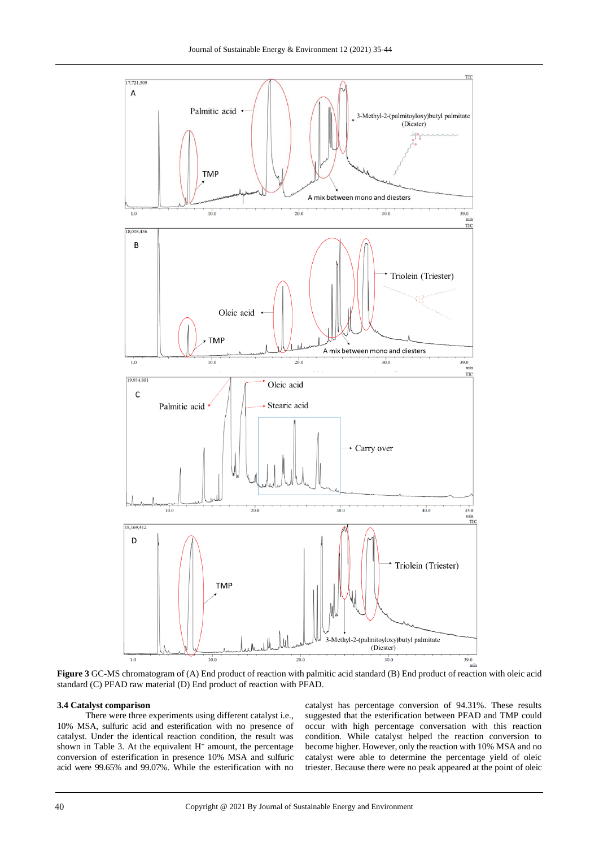

**Figure 3** GC-MS chromatogram of (A) End product of reaction with palmitic acid standard (B) End product of reaction with oleic acid standard (C) PFAD raw material (D) End product of reaction with PFAD.

## **3.4 Catalyst comparison**

There were three experiments using different catalyst i.e., 10% MSA, sulfuric acid and esterification with no presence of catalyst. Under the identical reaction condition, the result was shown in Table 3. At the equivalent  $H^+$  amount, the percentage conversion of esterification in presence 10% MSA and sulfuric acid were 99.65% and 99.07%. While the esterification with no

catalyst has percentage conversion of 94.31%. These results suggested that the esterification between PFAD and TMP could occur with high percentage conversation with this reaction condition. While catalyst helped the reaction conversion to become higher. However, only the reaction with 10% MSA and no catalyst were able to determine the percentage yield of oleic triester. Because there were no peak appeared at the point of oleic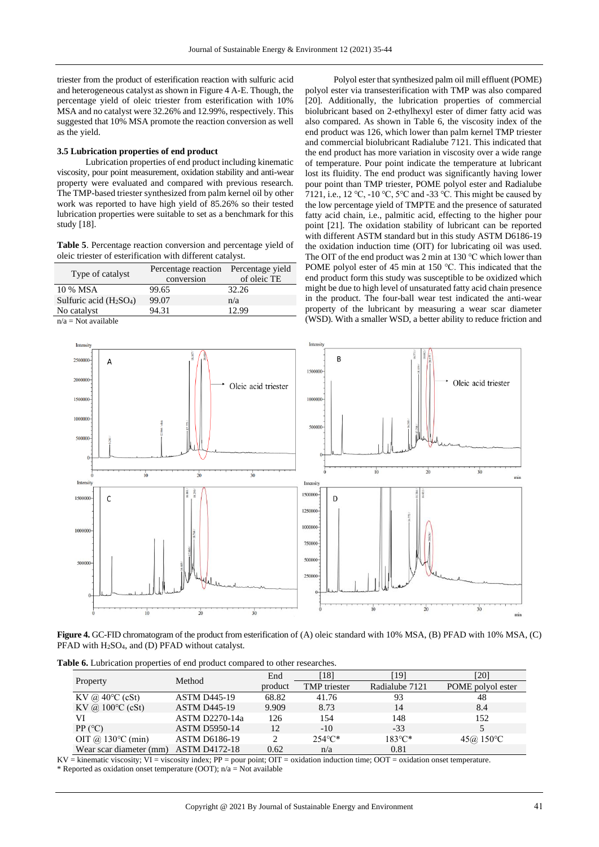triester from the product of esterification reaction with sulfuric acid and heterogeneous catalyst as shown in Figure 4 A-E. Though, the percentage yield of oleic triester from esterification with 10% MSA and no catalyst were 32.26% and 12.99%, respectively. This suggested that 10% MSA promote the reaction conversion as well as the yield.

## **3.5 Lubrication properties of end product**

Lubrication properties of end product including kinematic viscosity, pour point measurement, oxidation stability and anti-wear property were evaluated and compared with previous research. The TMP-based triester synthesized from palm kernel oil by other work was reported to have high yield of 85.26% so their tested lubrication properties were suitable to set as a benchmark for this study [18].

**Table 5**. Percentage reaction conversion and percentage yield of oleic triester of esterification with different catalyst.

| Type of catalyst        | Percentage reaction | Percentage yield |
|-------------------------|---------------------|------------------|
|                         | conversion          | of oleic TE      |
| 10 % MSA                | 99.65               | 32.26            |
| Sulfuric acid $(H2SO4)$ | 99.07               | n/a              |
| No catalyst             | 94.31               | 12.99            |
| .                       |                     |                  |

 $n/a = Not available$ 

Polyol ester that synthesized palm oil mill effluent (POME) polyol ester via transesterification with TMP was also compared [20]. Additionally, the lubrication properties of commercial biolubricant based on 2-ethylhexyl ester of dimer fatty acid was also compared. As shown in Table 6, the viscosity index of the end product was 126, which lower than palm kernel TMP triester and commercial biolubricant Radialube 7121. This indicated that the end product has more variation in viscosity over a wide range of temperature. Pour point indicate the temperature at lubricant lost its fluidity. The end product was significantly having lower pour point than TMP triester, POME polyol ester and Radialube 7121, i.e., 12 ℃, -10 ℃, 5℃ and -33 ℃. This might be caused by the low percentage yield of TMPTE and the presence of saturated fatty acid chain, i.e., palmitic acid, effecting to the higher pour point [21]. The oxidation stability of lubricant can be reported with different ASTM standard but in this study ASTM D6186-19 the oxidation induction time (OIT) for lubricating oil was used. The OIT of the end product was 2 min at 130 ℃ which lower than POME polyol ester of 45 min at 150 °C. This indicated that the end product form this study was susceptible to be oxidized which might be due to high level of unsaturated fatty acid chain presence in the product. The four-ball wear test indicated the anti-wear property of the lubricant by measuring a wear scar diameter (WSD). With a smaller WSD, a better ability to reduce friction and



**Figure 4.** GC-FID chromatogram of the product from esterification of (A) oleic standard with 10% MSA, (B) PFAD with 10% MSA, (C) PFAD with H2SO4, and (D) PFAD without catalyst.

|  | Table 6. Lubrication properties of end product compared to other researches. |
|--|------------------------------------------------------------------------------|
|--|------------------------------------------------------------------------------|

|                             | Method                | End     | 181                 | [19]             | [20]              |
|-----------------------------|-----------------------|---------|---------------------|------------------|-------------------|
| Property                    |                       | product | <b>TMP</b> triester | Radialube 7121   | POME polyol ester |
| KV @ $40^{\circ}$ C (cSt)   | <b>ASTM D445-19</b>   | 68.82   | 41.76               | 93               | 48                |
| KV @ $100^{\circ}$ C (cSt)  | <b>ASTM D445-19</b>   | 9.909   | 8.73                | 14               | 8.4               |
| VI                          | <b>ASTM D2270-14a</b> | 126     | 154                 | 148              | 152               |
| PP (°C)                     | <b>ASTM D5950-14</b>  | 12      | $-10$               | $-33$            |                   |
| OIT @ $130^{\circ}$ C (min) | <b>ASTM D6186-19</b>  |         | $254^{\circ}C^*$    | $183^{\circ}$ C* | 45@150°C          |
| Wear scar diameter (mm)     | <b>ASTM D4172-18</b>  | 0.62    | n/a                 | 0.81             |                   |

 $KV =$  kinematic viscosity;  $VI =$  viscosity index;  $PP =$  pour point;  $OIT =$  oxidation induction time;  $OOT =$  oxidation onset temperature. \* Reported as oxidation onset temperature (OOT);  $n/a = Not available$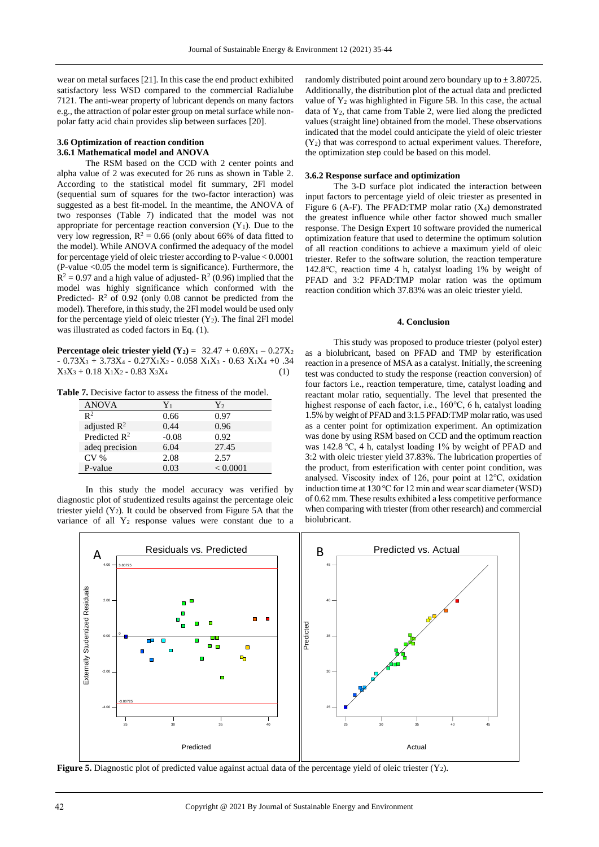wear on metal surfaces [21]. In this case the end product exhibited satisfactory less WSD compared to the commercial Radialube 7121. The anti-wear property of lubricant depends on many factors e.g., the attraction of polar ester group on metal surface while nonpolar fatty acid chain provides slip between surfaces [20].

## **3.6 Optimization of reaction condition 3.6.1 Mathematical model and ANOVA**

The RSM based on the CCD with 2 center points and alpha value of 2 was executed for 26 runs as shown in Table 2. According to the statistical model fit summary, 2Fl model (sequential sum of squares for the two-factor interaction) was suggested as a best fit-model. In the meantime, the ANOVA of two responses (Table 7) indicated that the model was not appropriate for percentage reaction conversion  $(Y_1)$ . Due to the very low regression,  $R^2 = 0.66$  (only about 66% of data fitted to the model). While ANOVA confirmed the adequacy of the model for percentage yield of oleic triester according to P-value < 0.0001 (P-value <0.05 the model term is significance). Furthermore, the  $R^2 = 0.97$  and a high value of adjusted-  $R^2$  (0.96) implied that the model was highly significance which conformed with the Predicted- $R^2$  of 0.92 (only 0.08 cannot be predicted from the model). Therefore, in this study, the 2Fl model would be used only for the percentage yield of oleic triester  $(Y_2)$ . The final 2Fl model was illustrated as coded factors in Eq. (1).

**Percentage oleic triester yield**  $(Y_2) = 32.47 + 0.69X_1 - 0.27X_2$  $-0.73X_3 + 3.73X_4 - 0.27X_1X_2 - 0.058X_1X_3 - 0.63X_1X_4 + 0.34$  $X_3X_3 + 0.18 X_1X_2 - 0.83 X_3X_4$  (1)

**Table 7.** Decisive factor to assess the fitness of the model.

| <b>ANOVA</b>            | Y1      | Y۰       |
|-------------------------|---------|----------|
| $\mathbb{R}^2$          | 0.66    | 0.97     |
| adjusted $\mathbb{R}^2$ | 0.44    | 0.96     |
| Predicted $R^2$         | $-0.08$ | 0.92     |
| adeq precision          | 6.04    | 27.45    |
| CV <sub>%</sub>         | 2.08    | 2.57     |
| P-value                 | 0.03    | < 0.0001 |

In this study the model accuracy was verified by diagnostic plot of studentized results against the percentage oleic triester yield  $(Y_2)$ . It could be observed from Figure 5A that the variance of all Y<sup>2</sup> response values were constant due to a randomly distributed point around zero boundary up to  $\pm$  3.80725. Additionally, the distribution plot of the actual data and predicted value of  $Y_2$  was highlighted in Figure 5B. In this case, the actual data of Y2, that came from Table 2, were lied along the predicted values (straight line) obtained from the model. These observations indicated that the model could anticipate the yield of oleic triester (Y2) that was correspond to actual experiment values. Therefore, the optimization step could be based on this model.

#### **3.6.2 Response surface and optimization**

The 3-D surface plot indicated the interaction between input factors to percentage yield of oleic triester as presented in Figure 6 (A-F). The PFAD: TMP molar ratio  $(X_4)$  demonstrated the greatest influence while other factor showed much smaller response. The Design Expert 10 software provided the numerical optimization feature that used to determine the optimum solution of all reaction conditions to achieve a maximum yield of oleic triester. Refer to the software solution, the reaction temperature 142.8℃, reaction time 4 h, catalyst loading 1% by weight of PFAD and 3:2 PFAD:TMP molar ration was the optimum reaction condition which 37.83% was an oleic triester yield.

#### **4. Conclusion**

This study was proposed to produce triester (polyol ester) as a biolubricant, based on PFAD and TMP by esterification reaction in a presence of MSA as a catalyst. Initially, the screening test was conducted to study the response (reaction conversion) of four factors i.e., reaction temperature, time, catalyst loading and reactant molar ratio, sequentially. The level that presented the highest response of each factor, i.e., 160℃, 6 h, catalyst loading 1.5% by weight of PFAD and 3:1.5 PFAD:TMP molar ratio, was used as a center point for optimization experiment. An optimization was done by using RSM based on CCD and the optimum reaction was 142.8 ℃, 4 h, catalyst loading 1% by weight of PFAD and 3:2 with oleic triester yield 37.83%. The lubrication properties of the product, from esterification with center point condition, was analysed. Viscosity index of 126, pour point at 12℃, oxidation induction time at 130℃ for 12 min and wear scar diameter (WSD) of 0.62 mm. These results exhibited a less competitive performance when comparing with triester (from other research) and commercial biolubricant.



**Figure 5.** Diagnostic plot of predicted value against actual data of the percentage yield of oleic triester (Y<sub>2</sub>).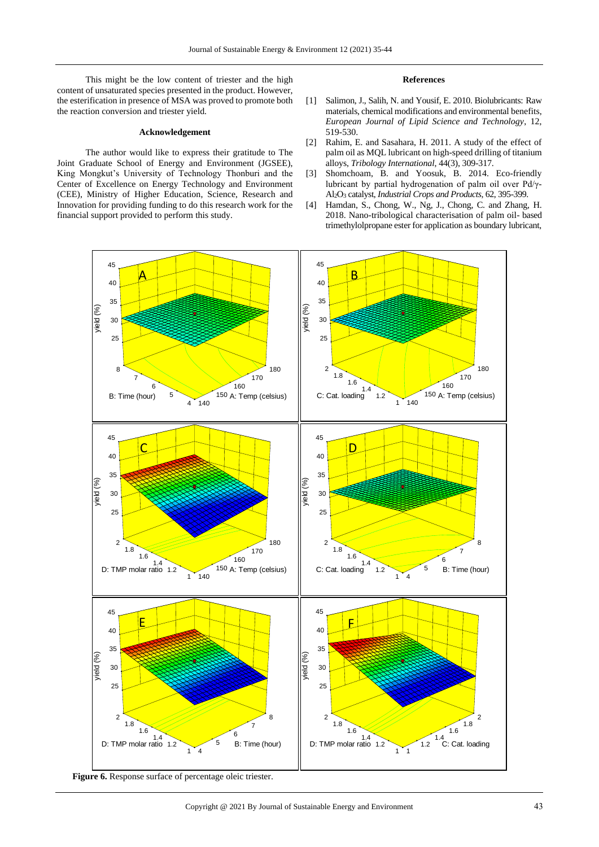This might be the low content of triester and the high content of unsaturated species presented in the product. However, the esterification in presence of MSA was proved to promote both the reaction conversion and triester yield.

### **Acknowledgement**

The author would like to express their gratitude to The Joint Graduate School of Energy and Environment (JGSEE), King Mongkut's University of Technology Thonburi and the Center of Excellence on Energy Technology and Environment (CEE), Ministry of Higher Education, Science, Research and Innovation for providing funding to do this research work for the financial support provided to perform this study.

## **References**

- [1] Salimon, J., Salih, N. and Yousif, E. 2010. Biolubricants: Raw materials, chemical modifications and environmental benefits, *European Journal of Lipid Science and Technology*, 12, 519-530.
- [2] Rahim, E. and Sasahara, H. 2011. A study of the effect of palm oil as MQL lubricant on high-speed drilling of titanium alloys, *Tribology International*, 44(3), 309-317.
- [3] Shomchoam, B. and Yoosuk, B. 2014. Eco-friendly lubricant by partial hydrogenation of palm oil over Pd/γ-Al2O<sup>3</sup> catalyst, *Industrial Crops and Products*, 62, 395-399.
- [4] Hamdan, S., Chong, W., Ng, J., Chong, C. and Zhang, H. 2018. Nano-tribological characterisation of palm oil- based trimethylolpropane ester for application as boundary lubricant,



**Figure 6.** Response surface of percentage oleic triester.